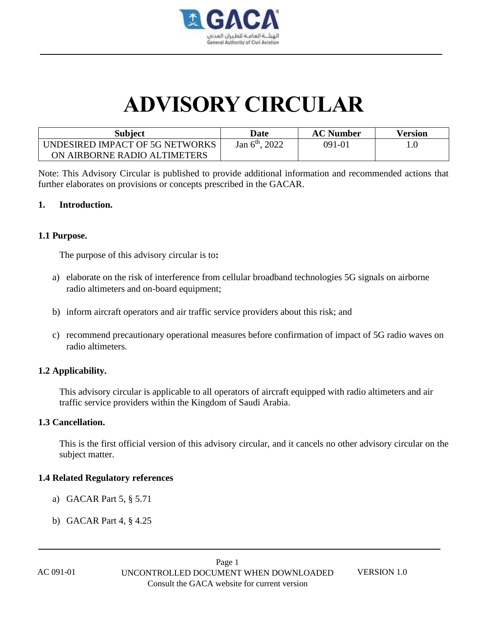

# **ADVISORY CIRCULAR**

| <b>Subject</b>                  | Date                       | <b>AC Number</b> | <b>Version</b> |
|---------------------------------|----------------------------|------------------|----------------|
| UNDESIRED IMPACT OF 5G NETWORKS | Jan $6^{\text{th}}$ , 2022 | 091-01           |                |
| ON AIRBORNE RADIO ALTIMETERS    |                            |                  |                |

Note: This Advisory Circular is published to provide additional information and recommended actions that further elaborates on provisions or concepts prescribed in the GACAR.

#### **1. Introduction.**

#### **1.1 Purpose.**

The purpose of this advisory circular is to**:**

- a) elaborate on the risk of interference from cellular broadband technologies 5G signals on airborne radio altimeters and on-board equipment;
- b) inform aircraft operators and air traffic service providers about this risk; and
- c) recommend precautionary operational measures before confirmation of impact of 5G radio waves on radio altimeters.

#### **1.2 Applicability.**

This advisory circular is applicable to all operators of aircraft equipped with radio altimeters and air traffic service providers within the Kingdom of Saudi Arabia.

#### **1.3 Cancellation.**

This is the first official version of this advisory circular, and it cancels no other advisory circular on the subject matter.

#### **1.4 Related Regulatory references**

- a) GACAR Part 5, § 5.71
- b) GACAR Part 4, § 4.25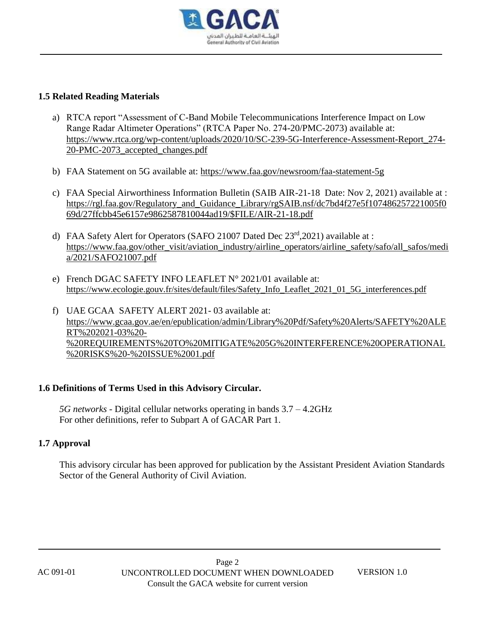

#### **1.5 Related Reading Materials**

- a) RTCA report "Assessment of C-Band Mobile Telecommunications Interference Impact on Low Range Radar Altimeter Operations" (RTCA Paper No. 274-20/PMC-2073) available at: [https://www.rtca.org/wp-content/uploads/2020/10/SC-239-5G-Interference-Assessment-Report\\_274-](https://www.rtca.org/wp-content/uploads/2020/10/SC-239-5G-Interference-Assessment-Report_274-20-PMC-2073_accepted_changes.pdf) [20-PMC-2073\\_accepted\\_changes.pdf](https://www.rtca.org/wp-content/uploads/2020/10/SC-239-5G-Interference-Assessment-Report_274-20-PMC-2073_accepted_changes.pdf)
- b) FAA Statement on 5G available at:<https://www.faa.gov/newsroom/faa-statement-5g>
- c) FAA Special Airworthiness Information Bulletin (SAIB AIR-21-18 Date: Nov 2, 2021) available at : [https://rgl.faa.gov/Regulatory\\_and\\_Guidance\\_Library/rgSAIB.nsf/dc7bd4f27e5f107486257221005f0](https://rgl.faa.gov/Regulatory_and_Guidance_Library/rgSAIB.nsf/dc7bd4f27e5f107486257221005f069d/27ffcbb45e6157e9862587810044ad19/$FILE/AIR-21-18.pdf) [69d/27ffcbb45e6157e9862587810044ad19/\\$FILE/AIR-21-18.pdf](https://rgl.faa.gov/Regulatory_and_Guidance_Library/rgSAIB.nsf/dc7bd4f27e5f107486257221005f069d/27ffcbb45e6157e9862587810044ad19/$FILE/AIR-21-18.pdf)
- d) FAA Safety Alert for Operators (SAFO 21007 Dated Dec 23<sup>rd</sup>, 2021) available at : [https://www.faa.gov/other\\_visit/aviation\\_industry/airline\\_operators/airline\\_safety/safo/all\\_safos/medi](https://www.faa.gov/other_visit/aviation_industry/airline_operators/airline_safety/safo/all_safos/media/2021/SAFO21007.pdf) [a/2021/SAFO21007.pdf](https://www.faa.gov/other_visit/aviation_industry/airline_operators/airline_safety/safo/all_safos/media/2021/SAFO21007.pdf)
- e) French DGAC SAFETY INFO LEAFLET N° 2021/01 available at: [https://www.ecologie.gouv.fr/sites/default/files/Safety\\_Info\\_Leaflet\\_2021\\_01\\_5G\\_interferences.pdf](https://www.ecologie.gouv.fr/sites/default/files/Safety_Info_Leaflet_2021_01_5G_interferences.pdf)
- f) UAE GCAA SAFETY ALERT 2021- 03 available at: [https://www.gcaa.gov.ae/en/epublication/admin/Library%20Pdf/Safety%20Alerts/SAFETY%20ALE](https://www.gcaa.gov.ae/en/epublication/admin/Library%20Pdf/Safety%20Alerts/SAFETY%20ALERT%202021-03%20-%20REQUIREMENTS%20TO%20MITIGATE%205G%20INTERFERENCE%20OPERATIONAL%20RISKS%20-%20ISSUE%2001.pdf) [RT%202021-03%20-](https://www.gcaa.gov.ae/en/epublication/admin/Library%20Pdf/Safety%20Alerts/SAFETY%20ALERT%202021-03%20-%20REQUIREMENTS%20TO%20MITIGATE%205G%20INTERFERENCE%20OPERATIONAL%20RISKS%20-%20ISSUE%2001.pdf) [%20REQUIREMENTS%20TO%20MITIGATE%205G%20INTERFERENCE%20OPERATIONAL](https://www.gcaa.gov.ae/en/epublication/admin/Library%20Pdf/Safety%20Alerts/SAFETY%20ALERT%202021-03%20-%20REQUIREMENTS%20TO%20MITIGATE%205G%20INTERFERENCE%20OPERATIONAL%20RISKS%20-%20ISSUE%2001.pdf) [%20RISKS%20-%20ISSUE%2001.pdf](https://www.gcaa.gov.ae/en/epublication/admin/Library%20Pdf/Safety%20Alerts/SAFETY%20ALERT%202021-03%20-%20REQUIREMENTS%20TO%20MITIGATE%205G%20INTERFERENCE%20OPERATIONAL%20RISKS%20-%20ISSUE%2001.pdf)

### **1.6 Definitions of Terms Used in this Advisory Circular.**

*5G networks* - Digital cellular networks operating in bands 3.7 – 4.2GHz For other definitions, refer to Subpart A of GACAR Part 1.

### **1.7 Approval**

This advisory circular has been approved for publication by the Assistant President Aviation Standards Sector of the General Authority of Civil Aviation.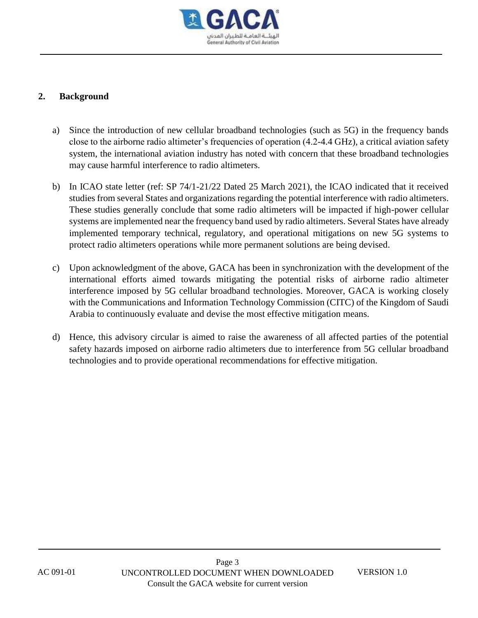

## **2. Background**

- a) Since the introduction of new cellular broadband technologies (such as 5G) in the frequency bands close to the airborne radio altimeter's frequencies of operation (4.2-4.4 GHz), a critical aviation safety system, the international aviation industry has noted with concern that these broadband technologies may cause harmful interference to radio altimeters.
- b) In ICAO state letter (ref: SP 74/1-21/22 Dated 25 March 2021), the ICAO indicated that it received studies from several States and organizations regarding the potential interference with radio altimeters. These studies generally conclude that some radio altimeters will be impacted if high-power cellular systems are implemented near the frequency band used by radio altimeters. Several States have already implemented temporary technical, regulatory, and operational mitigations on new 5G systems to protect radio altimeters operations while more permanent solutions are being devised.
- c) Upon acknowledgment of the above, GACA has been in synchronization with the development of the international efforts aimed towards mitigating the potential risks of airborne radio altimeter interference imposed by 5G cellular broadband technologies. Moreover, GACA is working closely with the Communications and Information Technology Commission (CITC) of the Kingdom of Saudi Arabia to continuously evaluate and devise the most effective mitigation means.
- d) Hence, this advisory circular is aimed to raise the awareness of all affected parties of the potential safety hazards imposed on airborne radio altimeters due to interference from 5G cellular broadband technologies and to provide operational recommendations for effective mitigation.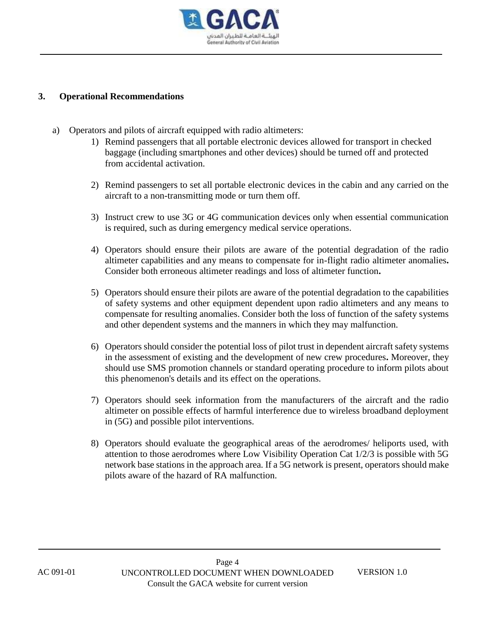

#### **3. Operational Recommendations**

- a) Operators and pilots of aircraft equipped with radio altimeters:
	- 1) Remind passengers that all portable electronic devices allowed for transport in checked baggage (including smartphones and other devices) should be turned off and protected from accidental activation.
	- 2) Remind passengers to set all portable electronic devices in the cabin and any carried on the aircraft to a non-transmitting mode or turn them off.
	- 3) Instruct crew to use 3G or 4G communication devices only when essential communication is required, such as during emergency medical service operations.
	- 4) Operators should ensure their pilots are aware of the potential degradation of the radio altimeter capabilities and any means to compensate for in-flight radio altimeter anomalies**.** Consider both erroneous altimeter readings and loss of altimeter function**.**
	- 5) Operators should ensure their pilots are aware of the potential degradation to the capabilities of safety systems and other equipment dependent upon radio altimeters and any means to compensate for resulting anomalies. Consider both the loss of function of the safety systems and other dependent systems and the manners in which they may malfunction.
	- 6) Operators should consider the potential loss of pilot trust in dependent aircraft safety systems in the assessment of existing and the development of new crew procedures**.** Moreover, they should use SMS promotion channels or standard operating procedure to inform pilots about this phenomenon's details and its effect on the operations.
	- 7) Operators should seek information from the manufacturers of the aircraft and the radio altimeter on possible effects of harmful interference due to wireless broadband deployment in (5G) and possible pilot interventions.
	- 8) Operators should evaluate the geographical areas of the aerodromes/ heliports used, with attention to those aerodromes where Low Visibility Operation Cat 1/2/3 is possible with 5G network base stations in the approach area. If a 5G network is present, operators should make pilots aware of the hazard of RA malfunction.